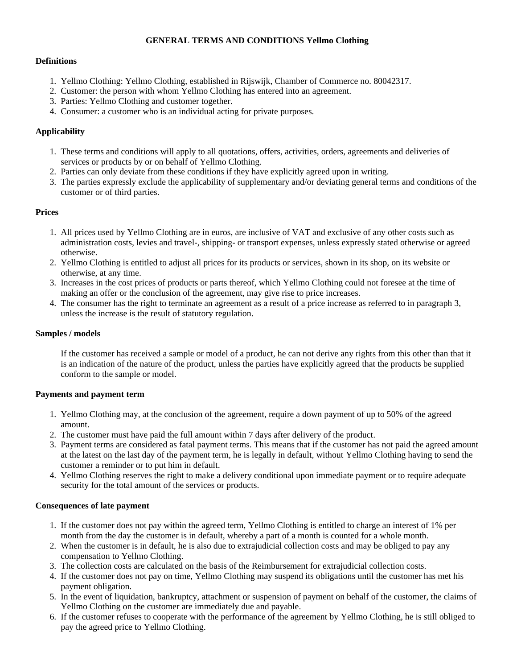### **GENERAL TERMS AND CONDITIONS Yellmo Clothing**

### **Definitions**

- 1. Yellmo Clothing: Yellmo Clothing, established in Rijswijk, Chamber of Commerce no. 80042317.
- 2. Customer: the person with whom Yellmo Clothing has entered into an agreement.
- 3. Parties: Yellmo Clothing and customer together.
- 4. Consumer: a customer who is an individual acting for private purposes.

## **Applicability**

- 1. These terms and conditions will apply to all quotations, offers, activities, orders, agreements and deliveries of services or products by or on behalf of Yellmo Clothing.
- 2. Parties can only deviate from these conditions if they have explicitly agreed upon in writing.
- 3. The parties expressly exclude the applicability of supplementary and/or deviating general terms and conditions of the customer or of third parties.

### **Prices**

- 1. All prices used by Yellmo Clothing are in euros, are inclusive of VAT and exclusive of any other costs such as administration costs, levies and travel-, shipping- or transport expenses, unless expressly stated otherwise or agreed otherwise.
- 2. Yellmo Clothing is entitled to adjust all prices for its products or services, shown in its shop, on its website or otherwise, at any time.
- 3. Increases in the cost prices of products or parts thereof, which Yellmo Clothing could not foresee at the time of making an offer or the conclusion of the agreement, may give rise to price increases.
- 4. The consumer has the right to terminate an agreement as a result of a price increase as referred to in paragraph 3, unless the increase is the result of statutory regulation.

### **Samples / models**

If the customer has received a sample or model of a product, he can not derive any rights from this other than that it is an indication of the nature of the product, unless the parties have explicitly agreed that the products be supplied conform to the sample or model.

## **Payments and payment term**

- 1. Yellmo Clothing may, at the conclusion of the agreement, require a down payment of up to 50% of the agreed amount.
- 2. The customer must have paid the full amount within 7 days after delivery of the product.
- 3. Payment terms are considered as fatal payment terms. This means that if the customer has not paid the agreed amount at the latest on the last day of the payment term, he is legally in default, without Yellmo Clothing having to send the customer a reminder or to put him in default.
- 4. Yellmo Clothing reserves the right to make a delivery conditional upon immediate payment or to require adequate security for the total amount of the services or products.

## **Consequences of late payment**

- 1. If the customer does not pay within the agreed term, Yellmo Clothing is entitled to charge an interest of 1% per month from the day the customer is in default, whereby a part of a month is counted for a whole month.
- 2. When the customer is in default, he is also due to extrajudicial collection costs and may be obliged to pay any compensation to Yellmo Clothing.
- 3. The collection costs are calculated on the basis of the Reimbursement for extrajudicial collection costs.
- 4. If the customer does not pay on time, Yellmo Clothing may suspend its obligations until the customer has met his payment obligation.
- 5. In the event of liquidation, bankruptcy, attachment or suspension of payment on behalf of the customer, the claims of Yellmo Clothing on the customer are immediately due and payable.
- 6. If the customer refuses to cooperate with the performance of the agreement by Yellmo Clothing, he is still obliged to pay the agreed price to Yellmo Clothing.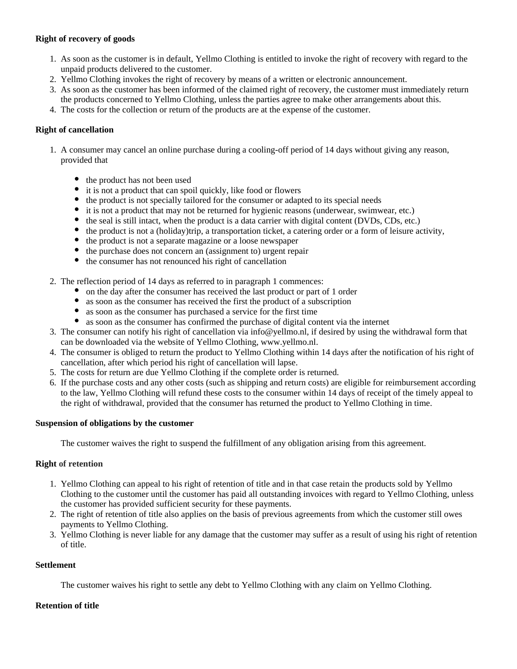### **Right of recovery of goods**

- 1. As soon as the customer is in default, Yellmo Clothing is entitled to invoke the right of recovery with regard to the unpaid products delivered to the customer.
- 2. Yellmo Clothing invokes the right of recovery by means of a written or electronic announcement.
- 3. As soon as the customer has been informed of the claimed right of recovery, the customer must immediately return the products concerned to Yellmo Clothing, unless the parties agree to make other arrangements about this.
- 4. The costs for the collection or return of the products are at the expense of the customer.

### **Right of cancellation**

- 1. A consumer may cancel an online purchase during a cooling-off period of 14 days without giving any reason, provided that
	- the product has not been used
	- it is not a product that can spoil quickly, like food or flowers
	- the product is not specially tailored for the consumer or adapted to its special needs
	- it is not a product that may not be returned for hygienic reasons (underwear, swimwear, etc.)
	- the seal is still intact, when the product is a data carrier with digital content (DVDs, CDs, etc.)
	- $\bullet$  the product is not a (holiday)trip, a transportation ticket, a catering order or a form of leisure activity,
	- the product is not a separate magazine or a loose newspaper
	- the purchase does not concern an (assignment to) urgent repair
	- the consumer has not renounced his right of cancellation
- 2. The reflection period of 14 days as referred to in paragraph 1 commences:
	- on the day after the consumer has received the last product or part of 1 order
	- as soon as the consumer has received the first the product of a subscription
	- as soon as the consumer has purchased a service for the first time
	- as soon as the consumer has confirmed the purchase of digital content via the internet
- 3. The consumer can notify his right of cancellation via info@yellmo.nl, if desired by using the withdrawal form that can be downloaded via the website of Yellmo Clothing, www.yellmo.nl.
- 4. The consumer is obliged to return the product to Yellmo Clothing within 14 days after the notification of his right of cancellation, after which period his right of cancellation will lapse.
- 5. The costs for return are due Yellmo Clothing if the complete order is returned.
- 6. If the purchase costs and any other costs (such as shipping and return costs) are eligible for reimbursement according to the law, Yellmo Clothing will refund these costs to the consumer within 14 days of receipt of the timely appeal to the right of withdrawal, provided that the consumer has returned the product to Yellmo Clothing in time.

### **Suspension of obligations by the customer**

The customer waives the right to suspend the fulfillment of any obligation arising from this agreement.

### **Right of retention**

- 1. Yellmo Clothing can appeal to his right of retention of title and in that case retain the products sold by Yellmo Clothing to the customer until the customer has paid all outstanding invoices with regard to Yellmo Clothing, unless the customer has provided sufficient security for these payments.
- 2. The right of retention of title also applies on the basis of previous agreements from which the customer still owes payments to Yellmo Clothing.
- 3. Yellmo Clothing is never liable for any damage that the customer may suffer as a result of using his right of retention of title.

### **Settlement**

The customer waives his right to settle any debt to Yellmo Clothing with any claim on Yellmo Clothing.

### **Retention of title**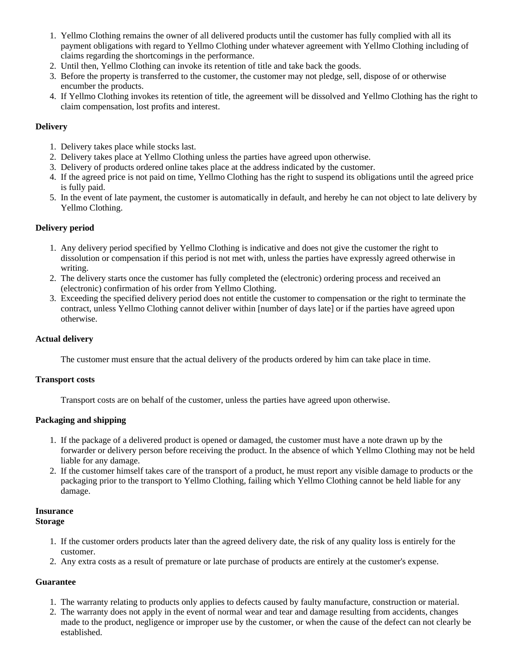- 1. Yellmo Clothing remains the owner of all delivered products until the customer has fully complied with all its payment obligations with regard to Yellmo Clothing under whatever agreement with Yellmo Clothing including of claims regarding the shortcomings in the performance.
- 2. Until then, Yellmo Clothing can invoke its retention of title and take back the goods.
- 3. Before the property is transferred to the customer, the customer may not pledge, sell, dispose of or otherwise encumber the products.
- 4. If Yellmo Clothing invokes its retention of title, the agreement will be dissolved and Yellmo Clothing has the right to claim compensation, lost profits and interest.

## **Delivery**

- 1. Delivery takes place while stocks last.
- 2. Delivery takes place at Yellmo Clothing unless the parties have agreed upon otherwise.
- 3. Delivery of products ordered online takes place at the address indicated by the customer.
- 4. If the agreed price is not paid on time, Yellmo Clothing has the right to suspend its obligations until the agreed price is fully paid.
- 5. In the event of late payment, the customer is automatically in default, and hereby he can not object to late delivery by Yellmo Clothing.

# **Delivery period**

- 1. Any delivery period specified by Yellmo Clothing is indicative and does not give the customer the right to dissolution or compensation if this period is not met with, unless the parties have expressly agreed otherwise in writing.
- 2. The delivery starts once the customer has fully completed the (electronic) ordering process and received an (electronic) confirmation of his order from Yellmo Clothing.
- 3. Exceeding the specified delivery period does not entitle the customer to compensation or the right to terminate the contract, unless Yellmo Clothing cannot deliver within [number of days late] or if the parties have agreed upon otherwise.

# **Actual delivery**

The customer must ensure that the actual delivery of the products ordered by him can take place in time.

## **Transport costs**

Transport costs are on behalf of the customer, unless the parties have agreed upon otherwise.

## **Packaging and shipping**

- 1. If the package of a delivered product is opened or damaged, the customer must have a note drawn up by the forwarder or delivery person before receiving the product. In the absence of which Yellmo Clothing may not be held liable for any damage.
- 2. If the customer himself takes care of the transport of a product, he must report any visible damage to products or the packaging prior to the transport to Yellmo Clothing, failing which Yellmo Clothing cannot be held liable for any damage.

#### **Insurance Storage**

- 1. If the customer orders products later than the agreed delivery date, the risk of any quality loss is entirely for the customer.
- 2. Any extra costs as a result of premature or late purchase of products are entirely at the customer's expense.

## **Guarantee**

- 1. The warranty relating to products only applies to defects caused by faulty manufacture, construction or material.
- 2. The warranty does not apply in the event of normal wear and tear and damage resulting from accidents, changes made to the product, negligence or improper use by the customer, or when the cause of the defect can not clearly be established.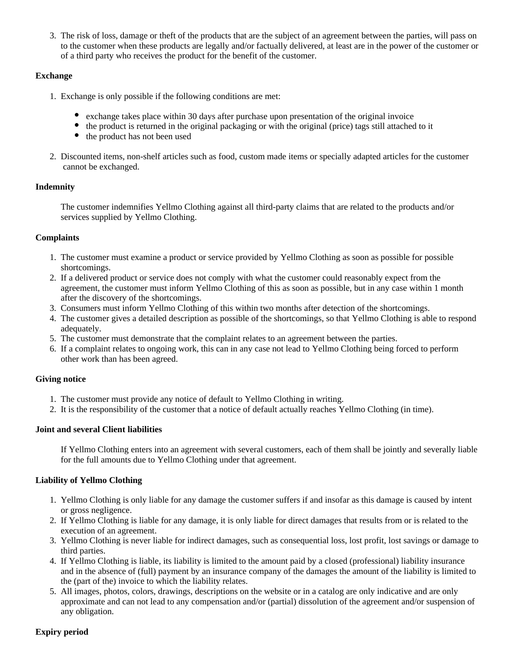3. The risk of loss, damage or theft of the products that are the subject of an agreement between the parties, will pass on to the customer when these products are legally and/or factually delivered, at least are in the power of the customer or of a third party who receives the product for the benefit of the customer.

# **Exchange**

- 1. Exchange is only possible if the following conditions are met:
	- exchange takes place within 30 days after purchase upon presentation of the original invoice
	- the product is returned in the original packaging or with the original (price) tags still attached to it
	- the product has not been used
- 2. Discounted items, non-shelf articles such as food, custom made items or specially adapted articles for the customer cannot be exchanged.

## **Indemnity**

The customer indemnifies Yellmo Clothing against all third-party claims that are related to the products and/or services supplied by Yellmo Clothing.

### **Complaints**

- 1. The customer must examine a product or service provided by Yellmo Clothing as soon as possible for possible shortcomings.
- 2. If a delivered product or service does not comply with what the customer could reasonably expect from the agreement, the customer must inform Yellmo Clothing of this as soon as possible, but in any case within 1 month after the discovery of the shortcomings.
- 3. Consumers must inform Yellmo Clothing of this within two months after detection of the shortcomings.
- 4. The customer gives a detailed description as possible of the shortcomings, so that Yellmo Clothing is able to respond adequately.
- 5. The customer must demonstrate that the complaint relates to an agreement between the parties.
- 6. If a complaint relates to ongoing work, this can in any case not lead to Yellmo Clothing being forced to perform other work than has been agreed.

## **Giving notice**

- 1. The customer must provide any notice of default to Yellmo Clothing in writing.
- 2. It is the responsibility of the customer that a notice of default actually reaches Yellmo Clothing (in time).

### **Joint and several Client liabilities**

If Yellmo Clothing enters into an agreement with several customers, each of them shall be jointly and severally liable for the full amounts due to Yellmo Clothing under that agreement.

## **Liability of Yellmo Clothing**

- 1. Yellmo Clothing is only liable for any damage the customer suffers if and insofar as this damage is caused by intent or gross negligence.
- 2. If Yellmo Clothing is liable for any damage, it is only liable for direct damages that results from or is related to the execution of an agreement.
- 3. Yellmo Clothing is never liable for indirect damages, such as consequential loss, lost profit, lost savings or damage to third parties.
- 4. If Yellmo Clothing is liable, its liability is limited to the amount paid by a closed (professional) liability insurance and in the absence of (full) payment by an insurance company of the damages the amount of the liability is limited to the (part of the) invoice to which the liability relates.
- 5. All images, photos, colors, drawings, descriptions on the website or in a catalog are only indicative and are only approximate and can not lead to any compensation and/or (partial) dissolution of the agreement and/or suspension of any obligation.

## **Expiry period**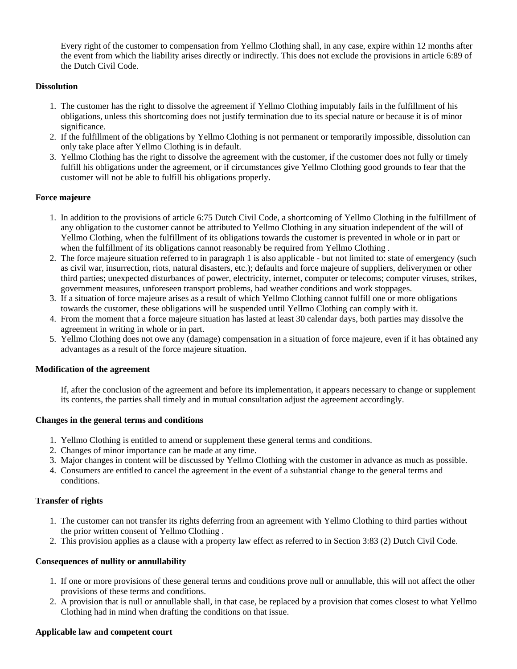Every right of the customer to compensation from Yellmo Clothing shall, in any case, expire within 12 months after the event from which the liability arises directly or indirectly. This does not exclude the provisions in article 6:89 of the Dutch Civil Code.

## **Dissolution**

- 1. The customer has the right to dissolve the agreement if Yellmo Clothing imputably fails in the fulfillment of his obligations, unless this shortcoming does not justify termination due to its special nature or because it is of minor significance.
- 2. If the fulfillment of the obligations by Yellmo Clothing is not permanent or temporarily impossible, dissolution can only take place after Yellmo Clothing is in default.
- 3. Yellmo Clothing has the right to dissolve the agreement with the customer, if the customer does not fully or timely fulfill his obligations under the agreement, or if circumstances give Yellmo Clothing good grounds to fear that the customer will not be able to fulfill his obligations properly.

# **Force majeure**

- 1. In addition to the provisions of article 6:75 Dutch Civil Code, a shortcoming of Yellmo Clothing in the fulfillment of any obligation to the customer cannot be attributed to Yellmo Clothing in any situation independent of the will of Yellmo Clothing, when the fulfillment of its obligations towards the customer is prevented in whole or in part or when the fulfillment of its obligations cannot reasonably be required from Yellmo Clothing .
- 2. The force majeure situation referred to in paragraph 1 is also applicable but not limited to: state of emergency (such as civil war, insurrection, riots, natural disasters, etc.); defaults and force majeure of suppliers, deliverymen or other third parties; unexpected disturbances of power, electricity, internet, computer or telecoms; computer viruses, strikes, government measures, unforeseen transport problems, bad weather conditions and work stoppages.
- 3. If a situation of force majeure arises as a result of which Yellmo Clothing cannot fulfill one or more obligations towards the customer, these obligations will be suspended until Yellmo Clothing can comply with it.
- 4. From the moment that a force majeure situation has lasted at least 30 calendar days, both parties may dissolve the agreement in writing in whole or in part.
- 5. Yellmo Clothing does not owe any (damage) compensation in a situation of force majeure, even if it has obtained any advantages as a result of the force majeure situation.

## **Modification of the agreement**

If, after the conclusion of the agreement and before its implementation, it appears necessary to change or supplement its contents, the parties shall timely and in mutual consultation adjust the agreement accordingly.

## **Changes in the general terms and conditions**

- 1. Yellmo Clothing is entitled to amend or supplement these general terms and conditions.
- 2. Changes of minor importance can be made at any time.
- 3. Major changes in content will be discussed by Yellmo Clothing with the customer in advance as much as possible.
- 4. Consumers are entitled to cancel the agreement in the event of a substantial change to the general terms and conditions.

# **Transfer of rights**

- 1. The customer can not transfer its rights deferring from an agreement with Yellmo Clothing to third parties without the prior written consent of Yellmo Clothing .
- 2. This provision applies as a clause with a property law effect as referred to in Section 3:83 (2) Dutch Civil Code.

## **Consequences of nullity or annullability**

- 1. If one or more provisions of these general terms and conditions prove null or annullable, this will not affect the other provisions of these terms and conditions.
- 2. A provision that is null or annullable shall, in that case, be replaced by a provision that comes closest to what Yellmo Clothing had in mind when drafting the conditions on that issue.

## **Applicable law and competent court**